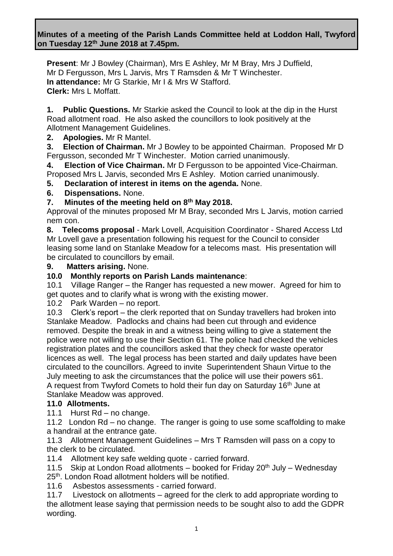**Minutes of a meeting of the Parish Lands Committee held at Loddon Hall, Twyford on Tuesday 12th June 2018 at 7.45pm.**

**Present**: Mr J Bowley (Chairman), Mrs E Ashley, Mr M Bray, Mrs J Duffield, Mr D Fergusson, Mrs L Jarvis, Mrs T Ramsden & Mr T Winchester. **In attendance:** Mr G Starkie, Mr I & Mrs W Stafford. **Clerk:** Mrs L Moffatt.

**1. Public Questions.** Mr Starkie asked the Council to look at the dip in the Hurst Road allotment road. He also asked the councillors to look positively at the Allotment Management Guidelines.

**2. Apologies.** Mr R Mantel.

**3. Election of Chairman.** Mr J Bowley to be appointed Chairman. Proposed Mr D Fergusson, seconded Mr T Winchester. Motion carried unanimously.

**4. Election of Vice Chairman.** Mr D Fergusson to be appointed Vice-Chairman. Proposed Mrs L Jarvis, seconded Mrs E Ashley. Motion carried unanimously.

**5. Declaration of interest in items on the agenda.** None.

**6. Dispensations.** None.

#### **7. Minutes of the meeting held on 8th May 2018.**

Approval of the minutes proposed Mr M Bray, seconded Mrs L Jarvis, motion carried nem con.

**8. Telecoms proposal** - Mark Lovell, Acquisition Coordinator - Shared Access Ltd Mr Lovell gave a presentation following his request for the Council to consider leasing some land on Stanlake Meadow for a telecoms mast. His presentation will be circulated to councillors by email.

**9. Matters arising.** None.

### **10.0 Monthly reports on Parish Lands maintenance**:

10.1 Village Ranger – the Ranger has requested a new mower. Agreed for him to get quotes and to clarify what is wrong with the existing mower.

10.2 Park Warden – no report.

10.3 Clerk's report – the clerk reported that on Sunday travellers had broken into Stanlake Meadow. Padlocks and chains had been cut through and evidence removed. Despite the break in and a witness being willing to give a statement the police were not willing to use their Section 61. The police had checked the vehicles registration plates and the councillors asked that they check for waste operator licences as well. The legal process has been started and daily updates have been circulated to the councillors. Agreed to invite Superintendent Shaun Virtue to the July meeting to ask the circumstances that the police will use their powers s61. A request from Twyford Comets to hold their fun day on Saturday 16<sup>th</sup> June at Stanlake Meadow was approved.

#### **11.0 Allotments.**

11.1 Hurst Rd – no change.

11.2 London Rd – no change. The ranger is going to use some scaffolding to make a handrail at the entrance gate.

11.3 Allotment Management Guidelines – Mrs T Ramsden will pass on a copy to the clerk to be circulated.

11.4 Allotment key safe welding quote - carried forward.

11.5 Skip at London Road allotments – booked for Friday  $20<sup>th</sup>$  July – Wednesday 25<sup>th</sup>. London Road allotment holders will be notified.

11.6 Asbestos assessments - carried forward.

11.7 Livestock on allotments – agreed for the clerk to add appropriate wording to the allotment lease saying that permission needs to be sought also to add the GDPR wording.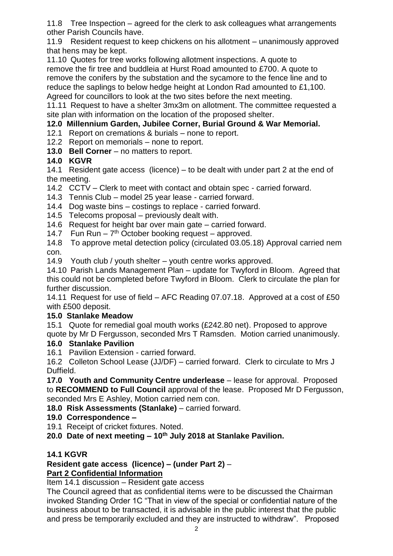11.8 Tree Inspection – agreed for the clerk to ask colleagues what arrangements other Parish Councils have.

11.9 Resident request to keep chickens on his allotment – unanimously approved that hens may be kept.

11.10 Quotes for tree works following allotment inspections. A quote to remove the fir tree and buddleia at Hurst Road amounted to £700. A quote to remove the conifers by the substation and the sycamore to the fence line and to reduce the saplings to below hedge height at London Rad amounted to £1,100. Agreed for councillors to look at the two sites before the next meeting.

11.11 Request to have a shelter 3mx3m on allotment. The committee requested a site plan with information on the location of the proposed shelter.

# **12.0 Millennium Garden, Jubilee Corner, Burial Ground & War Memorial.**

12.1 Report on cremations & burials – none to report.

12.2 Report on memorials – none to report.

**13.0 Bell Corner** – no matters to report.

# **14.0 KGVR**

14.1 Resident gate access (licence) – to be dealt with under part 2 at the end of the meeting.

14.2 CCTV – Clerk to meet with contact and obtain spec - carried forward.

14.3 Tennis Club – model 25 year lease - carried forward.

- 14.4 Dog waste bins costings to replace carried forward.
- 14.5 Telecoms proposal previously dealt with.
- 14.6 Request for height bar over main gate carried forward.
- 14.7 Fun Run  $-7<sup>th</sup>$  October booking request  $-$  approved.

14.8 To approve metal detection policy (circulated 03.05.18) Approval carried nem con.

14.9 Youth club / youth shelter – youth centre works approved.

14.10 Parish Lands Management Plan – update for Twyford in Bloom. Agreed that this could not be completed before Twyford in Bloom. Clerk to circulate the plan for further discussion.

14.11 Request for use of field – AFC Reading 07.07.18. Approved at a cost of £50 with £500 deposit.

#### **15.0 Stanlake Meadow**

15.1 Quote for remedial goal mouth works (£242.80 net). Proposed to approve

quote by Mr D Fergusson, seconded Mrs T Ramsden. Motion carried unanimously.

# **16.0 Stanlake Pavilion**

16.1 Pavilion Extension - carried forward.

16.2 Colleton School Lease (JJ/DF) – carried forward. Clerk to circulate to Mrs J Duffield.

**17.0 Youth and Community Centre underlease** – lease for approval. Proposed to **RECOMMEND to Full Council** approval of the lease. Proposed Mr D Fergusson, seconded Mrs E Ashley, Motion carried nem con.

**18.0 Risk Assessments (Stanlake)** – carried forward.

# **19.0 Correspondence –**

- 19.1 Receipt of cricket fixtures. Noted.
- **20.0 Date of next meeting – 10th July 2018 at Stanlake Pavilion.**

#### **14.1 KGVR**

# **Resident gate access (licence) – (under Part 2)** –

#### **Part 2 Confidential Information** Item 14.1 discussion – Resident gate access

The Council agreed that as confidential items were to be discussed the Chairman invoked Standing Order 1C "That in view of the special or confidential nature of the business about to be transacted, it is advisable in the public interest that the public

and press be temporarily excluded and they are instructed to withdraw". Proposed